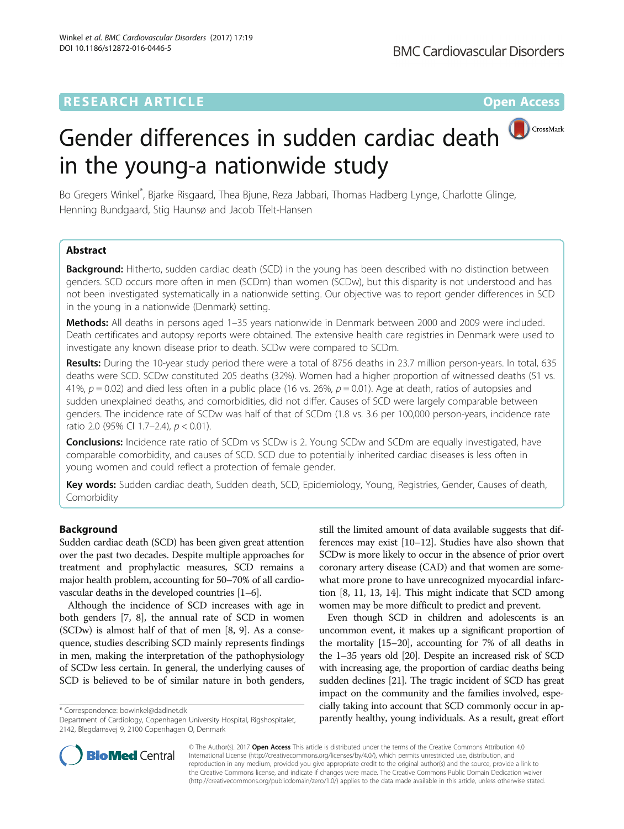# **RESEARCH ARTICLE Example 2018 12:00 Department of the Contract Open Access**

# Gender differences in sudden cardiac death in the young-a nationwide study

Bo Gregers Winkel\* , Bjarke Risgaard, Thea Bjune, Reza Jabbari, Thomas Hadberg Lynge, Charlotte Glinge, Henning Bundgaard, Stig Haunsø and Jacob Tfelt-Hansen

# Abstract

Background: Hitherto, sudden cardiac death (SCD) in the young has been described with no distinction between genders. SCD occurs more often in men (SCDm) than women (SCDw), but this disparity is not understood and has not been investigated systematically in a nationwide setting. Our objective was to report gender differences in SCD in the young in a nationwide (Denmark) setting.

Methods: All deaths in persons aged 1–35 years nationwide in Denmark between 2000 and 2009 were included. Death certificates and autopsy reports were obtained. The extensive health care registries in Denmark were used to investigate any known disease prior to death. SCDw were compared to SCDm.

Results: During the 10-year study period there were a total of 8756 deaths in 23.7 million person-years. In total, 635 deaths were SCD. SCDw constituted 205 deaths (32%). Women had a higher proportion of witnessed deaths (51 vs. 41%,  $p = 0.02$ ) and died less often in a public place (16 vs. 26%,  $p = 0.01$ ). Age at death, ratios of autopsies and sudden unexplained deaths, and comorbidities, did not differ. Causes of SCD were largely comparable between genders. The incidence rate of SCDw was half of that of SCDm (1.8 vs. 3.6 per 100,000 person-years, incidence rate ratio 2.0 (95% CI 1.7–2.4), p < 0.01).

**Conclusions:** Incidence rate ratio of SCDm vs SCDw is 2. Young SCDw and SCDm are equally investigated, have comparable comorbidity, and causes of SCD. SCD due to potentially inherited cardiac diseases is less often in young women and could reflect a protection of female gender.

Key words: Sudden cardiac death, Sudden death, SCD, Epidemiology, Young, Registries, Gender, Causes of death, Comorbidity

# Background

Sudden cardiac death (SCD) has been given great attention over the past two decades. Despite multiple approaches for treatment and prophylactic measures, SCD remains a major health problem, accounting for 50–70% of all cardiovascular deaths in the developed countries [\[1](#page-6-0)–[6\]](#page-6-0).

Although the incidence of SCD increases with age in both genders [\[7](#page-7-0), [8\]](#page-7-0), the annual rate of SCD in women (SCDw) is almost half of that of men [[8](#page-7-0), [9\]](#page-7-0). As a consequence, studies describing SCD mainly represents findings in men, making the interpretation of the pathophysiology of SCDw less certain. In general, the underlying causes of SCD is believed to be of similar nature in both genders,

still the limited amount of data available suggests that differences may exist [\[10](#page-7-0)–[12](#page-7-0)]. Studies have also shown that SCDw is more likely to occur in the absence of prior overt coronary artery disease (CAD) and that women are somewhat more prone to have unrecognized myocardial infarction [\[8](#page-7-0), [11](#page-7-0), [13, 14\]](#page-7-0). This might indicate that SCD among women may be more difficult to predict and prevent.

Even though SCD in children and adolescents is an uncommon event, it makes up a significant proportion of the mortality [\[15](#page-7-0)–[20\]](#page-7-0), accounting for 7% of all deaths in the 1–35 years old [[20\]](#page-7-0). Despite an increased risk of SCD with increasing age, the proportion of cardiac deaths being sudden declines [\[21](#page-7-0)]. The tragic incident of SCD has great impact on the community and the families involved, especially taking into account that SCD commonly occur in apparently taking into account that  $\frac{1}{2}$  commonly occur in ap-<br>Department of Cardiology, Copenhagen University Hospital, Rigshospitalet, **\* parently healthy, young individuals. As a result, great effort** 



© The Author(s). 2017 Open Access This article is distributed under the terms of the Creative Commons Attribution 4.0 International License [\(http://creativecommons.org/licenses/by/4.0/](http://creativecommons.org/licenses/by/4.0/)), which permits unrestricted use, distribution, and reproduction in any medium, provided you give appropriate credit to the original author(s) and the source, provide a link to the Creative Commons license, and indicate if changes were made. The Creative Commons Public Domain Dedication waiver [\(http://creativecommons.org/publicdomain/zero/1.0/](http://creativecommons.org/publicdomain/zero/1.0/)) applies to the data made available in this article, unless otherwise stated.

Department of Cardiology, Copenhagen University Hospital, Rigshospitalet, 2142, Blegdamsvej 9, 2100 Copenhagen O, Denmark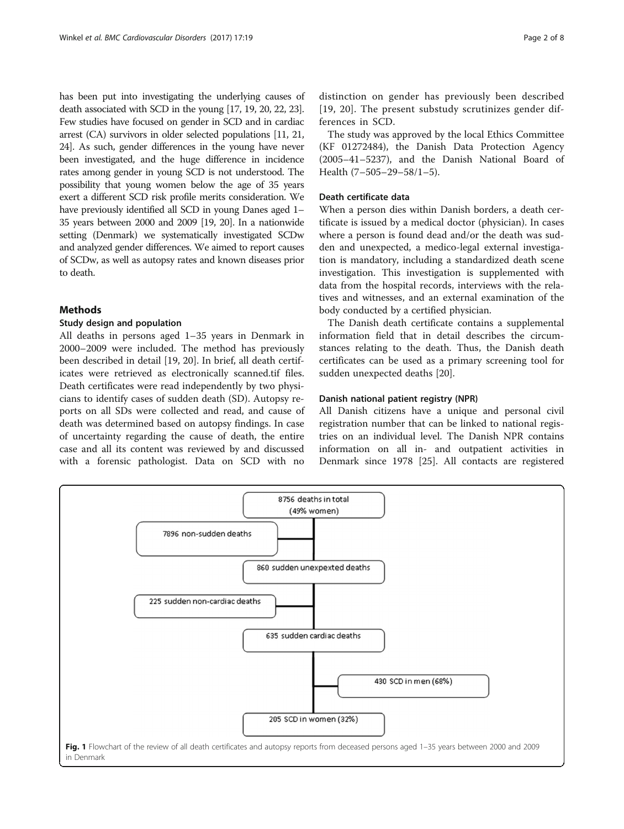<span id="page-1-0"></span>has been put into investigating the underlying causes of death associated with SCD in the young [\[17, 19, 20](#page-7-0), [22](#page-7-0), [23](#page-7-0)]. Few studies have focused on gender in SCD and in cardiac arrest (CA) survivors in older selected populations [\[11, 21](#page-7-0), [24](#page-7-0)]. As such, gender differences in the young have never been investigated, and the huge difference in incidence rates among gender in young SCD is not understood. The possibility that young women below the age of 35 years exert a different SCD risk profile merits consideration. We have previously identified all SCD in young Danes aged 1– 35 years between 2000 and 2009 [[19](#page-7-0), [20](#page-7-0)]. In a nationwide setting (Denmark) we systematically investigated SCDw and analyzed gender differences. We aimed to report causes of SCDw, as well as autopsy rates and known diseases prior to death.

### Methods

#### Study design and population

All deaths in persons aged 1–35 years in Denmark in 2000–2009 were included. The method has previously been described in detail [[19, 20\]](#page-7-0). In brief, all death certificates were retrieved as electronically scanned.tif files. Death certificates were read independently by two physicians to identify cases of sudden death (SD). Autopsy reports on all SDs were collected and read, and cause of death was determined based on autopsy findings. In case of uncertainty regarding the cause of death, the entire case and all its content was reviewed by and discussed with a forensic pathologist. Data on SCD with no

distinction on gender has previously been described [[19](#page-7-0), [20\]](#page-7-0). The present substudy scrutinizes gender differences in SCD.

The study was approved by the local Ethics Committee (KF 01272484), the Danish Data Protection Agency (2005–41–5237), and the Danish National Board of Health (7–505–29–58/1–5).

#### Death certificate data

When a person dies within Danish borders, a death certificate is issued by a medical doctor (physician). In cases where a person is found dead and/or the death was sudden and unexpected, a medico-legal external investigation is mandatory, including a standardized death scene investigation. This investigation is supplemented with data from the hospital records, interviews with the relatives and witnesses, and an external examination of the body conducted by a certified physician.

The Danish death certificate contains a supplemental information field that in detail describes the circumstances relating to the death. Thus, the Danish death certificates can be used as a primary screening tool for sudden unexpected deaths [\[20\]](#page-7-0).

#### Danish national patient registry (NPR)

All Danish citizens have a unique and personal civil registration number that can be linked to national registries on an individual level. The Danish NPR contains information on all in- and outpatient activities in Denmark since 1978 [[25\]](#page-7-0). All contacts are registered

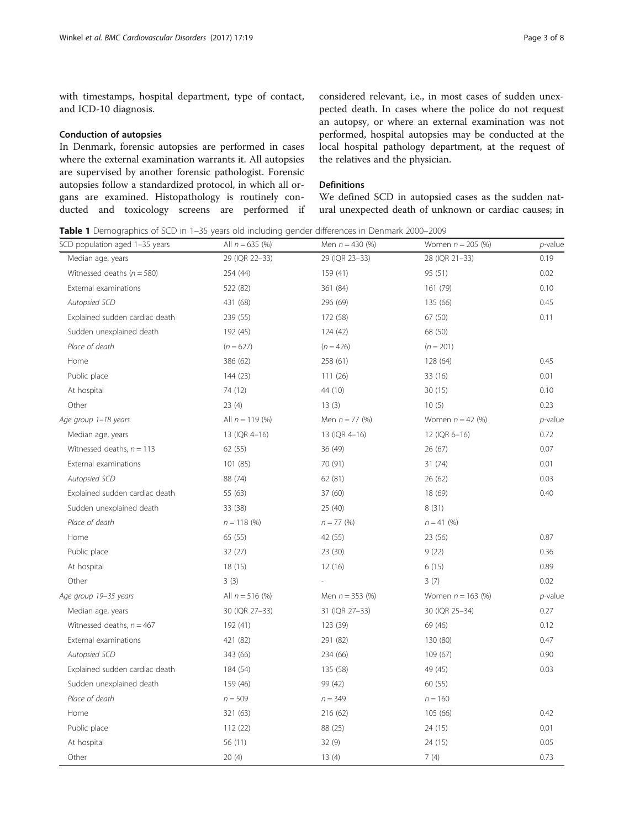<span id="page-2-0"></span>with timestamps, hospital department, type of contact, and ICD-10 diagnosis.

#### Conduction of autopsies

In Denmark, forensic autopsies are performed in cases where the external examination warrants it. All autopsies are supervised by another forensic pathologist. Forensic autopsies follow a standardized protocol, in which all organs are examined. Histopathology is routinely conducted and toxicology screens are performed if considered relevant, i.e., in most cases of sudden unexpected death. In cases where the police do not request an autopsy, or where an external examination was not performed, hospital autopsies may be conducted at the local hospital pathology department, at the request of the relatives and the physician.

## **Definitions**

We defined SCD in autopsied cases as the sudden natural unexpected death of unknown or cardiac causes; in

Table 1 Demographics of SCD in 1-35 years old including gender differences in Denmark 2000-2009

| SCD population aged 1-35 years | All $n = 635$ (%) | Men $n = 430$ (%) | Women $n = 205$ (%) | $p$ -value |
|--------------------------------|-------------------|-------------------|---------------------|------------|
| Median age, years              | 29 (IQR 22-33)    | 29 (IQR 23-33)    | 28 (IQR 21-33)      | 0.19       |
| Witnessed deaths ( $n = 580$ ) | 254 (44)          | 159 (41)          | 95 (51)             | 0.02       |
| External examinations          | 522 (82)          | 361 (84)          | 161 (79)            | 0.10       |
| Autopsied SCD                  | 431 (68)          | 296 (69)          | 135 (66)            | 0.45       |
| Explained sudden cardiac death | 239 (55)          | 172 (58)          | 67 (50)             | 0.11       |
| Sudden unexplained death       | 192 (45)          | 124 (42)          | 68 (50)             |            |
| Place of death                 | $(n = 627)$       | $(n = 426)$       | $(n = 201)$         |            |
| Home                           | 386 (62)          | 258 (61)          | 128 (64)            | 0.45       |
| Public place                   | 144 (23)          | 111(26)           | 33 (16)             | 0.01       |
| At hospital                    | 74 (12)           | 44 (10)           | 30(15)              | 0.10       |
| Other                          | 23(4)             | 13(3)             | 10(5)               | 0.23       |
| Age group 1-18 years           | All $n = 119$ (%) | Men $n = 77$ (%)  | Women $n = 42$ (%)  | $p$ -value |
| Median age, years              | 13 (IQR 4-16)     | 13 (IQR 4-16)     | 12 (IQR 6-16)       | 0.72       |
| Witnessed deaths, $n = 113$    | 62 (55)           | 36 (49)           | 26 (67)             | 0.07       |
| External examinations          | 101 (85)          | 70 (91)           | 31(74)              | 0.01       |
| Autopsied SCD                  | 88 (74)           | 62 (81)           | 26 (62)             | 0.03       |
| Explained sudden cardiac death | 55 (63)           | 37 (60)           | 18 (69)             | 0.40       |
| Sudden unexplained death       | 33 (38)           | 25 (40)           | 8(31)               |            |
| Place of death                 | $n = 118$ (%)     | $n = 77$ (%)      | $n = 41$ (%)        |            |
| Home                           | 65 (55)           | 42 (55)           | 23 (56)             | 0.87       |
| Public place                   | 32(27)            | 23 (30)           | 9(22)               | 0.36       |
| At hospital                    | 18(15)            | 12(16)            | 6(15)               | 0.89       |
| Other                          | 3(3)              |                   | 3(7)                | 0.02       |
| Age group 19-35 years          | All $n = 516$ (%) | Men $n = 353$ (%) | Women $n = 163$ (%) | $p$ -value |
| Median age, years              | 30 (IQR 27-33)    | 31 (IQR 27-33)    | 30 (IQR 25-34)      | 0.27       |
| Witnessed deaths, $n = 467$    | 192 (41)          | 123 (39)          | 69 (46)             | 0.12       |
| External examinations          | 421 (82)          | 291 (82)          | 130 (80)            | 0.47       |
| Autopsied SCD                  | 343 (66)          | 234 (66)          | 109 (67)            | 0.90       |
| Explained sudden cardiac death | 184 (54)          | 135 (58)          | 49 (45)             | 0.03       |
| Sudden unexplained death       | 159 (46)          | 99 (42)           | 60 (55)             |            |
| Place of death                 | $n = 509$         | $n = 349$         | $n = 160$           |            |
| Home                           | 321 (63)          | 216 (62)          | 105 (66)            | 0.42       |
| Public place                   | 112(22)           | 88 (25)           | 24 (15)             | 0.01       |
| At hospital                    | 56 (11)           | 32(9)             | 24 (15)             | 0.05       |
| Other                          | 20(4)             | 13(4)             | 7(4)                | 0.73       |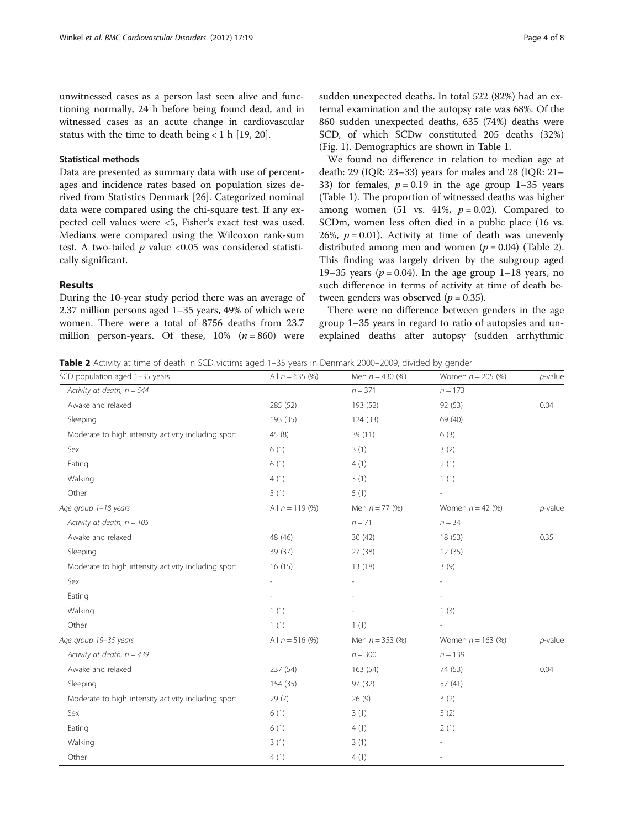unwitnessed cases as a person last seen alive and functioning normally, 24 h before being found dead, and in witnessed cases as an acute change in cardiovascular status with the time to death being  $< 1$  h [\[19](#page-7-0), [20](#page-7-0)].

#### Statistical methods

Data are presented as summary data with use of percentages and incidence rates based on population sizes derived from Statistics Denmark [[26\]](#page-7-0). Categorized nominal data were compared using the chi-square test. If any expected cell values were <5, Fisher's exact test was used. Medians were compared using the Wilcoxon rank-sum test. A two-tailed  $p$  value <0.05 was considered statistically significant.

#### Results

During the 10-year study period there was an average of 2.37 million persons aged 1–35 years, 49% of which were women. There were a total of 8756 deaths from 23.7 million person-years. Of these,  $10\%$  ( $n = 860$ ) were sudden unexpected deaths. In total 522 (82%) had an external examination and the autopsy rate was 68%. Of the 860 sudden unexpected deaths, 635 (74%) deaths were SCD, of which SCDw constituted 205 deaths (32%) (Fig. [1](#page-1-0)). Demographics are shown in Table [1](#page-2-0).

We found no difference in relation to median age at death: 29 (IQR: 23–33) years for males and 28 (IQR: 21– 33) for females,  $p = 0.19$  in the age group 1–35 years (Table [1\)](#page-2-0). The proportion of witnessed deaths was higher among women (51 vs. 41%,  $p = 0.02$ ). Compared to SCDm, women less often died in a public place (16 vs. 26%,  $p = 0.01$ ). Activity at time of death was unevenly distributed among men and women  $(p = 0.04)$  (Table 2). This finding was largely driven by the subgroup aged 19–35 years ( $p = 0.04$ ). In the age group 1–18 years, no such difference in terms of activity at time of death between genders was observed ( $p = 0.35$ ).

There were no difference between genders in the age group 1–35 years in regard to ratio of autopsies and unexplained deaths after autopsy (sudden arrhythmic

Table 2 Activity at time of death in SCD victims aged 1–35 years in Denmark 2000–2009, divided by gender

|                   |                   |                     | $p$ -value          |
|-------------------|-------------------|---------------------|---------------------|
|                   | $n = 371$         | $n = 173$           |                     |
| 285 (52)          | 193 (52)          | 92 (53)             | 0.04                |
| 193 (35)          | 124(33)           | 69 (40)             |                     |
| 45 (8)            | 39 (11)           | 6(3)                |                     |
| 6(1)              | 3(1)              | 3(2)                |                     |
| 6(1)              | 4(1)              | 2(1)                |                     |
| 4(1)              | 3(1)              | 1(1)                |                     |
| 5(1)              | 5(1)              |                     |                     |
| All $n = 119$ (%) | Men $n = 77$ (%)  | Women $n = 42$ (%)  | $p$ -value          |
|                   | $n = 71$          | $n = 34$            |                     |
| 48 (46)           | 30(42)            | 18(53)              | 0.35                |
| 39 (37)           | 27 (38)           | 12(35)              |                     |
| 16(15)            | 13(18)            | 3(9)                |                     |
| ÷,                | ÷                 | ÷                   |                     |
|                   |                   |                     |                     |
| 1(1)              |                   | 1(3)                |                     |
| 1(1)              | 1(1)              |                     |                     |
| All $n = 516$ (%) | Men $n = 353$ (%) | Women $n = 163$ (%) | $p$ -value          |
|                   | $n = 300$         | $n = 139$           |                     |
| 237 (54)          | 163(54)           | 74 (53)             | 0.04                |
| 154 (35)          | 97 (32)           | 57(41)              |                     |
| 29(7)             | 26(9)             | 3(2)                |                     |
| 6(1)              | 3(1)              | 3(2)                |                     |
| 6(1)              | 4(1)              | 2(1)                |                     |
| 3(1)              | 3(1)              |                     |                     |
| 4(1)              | 4(1)              | $\overline{a}$      |                     |
|                   | All $n = 635$ (%) | Men $n = 430$ (%)   | Women $n = 205$ (%) |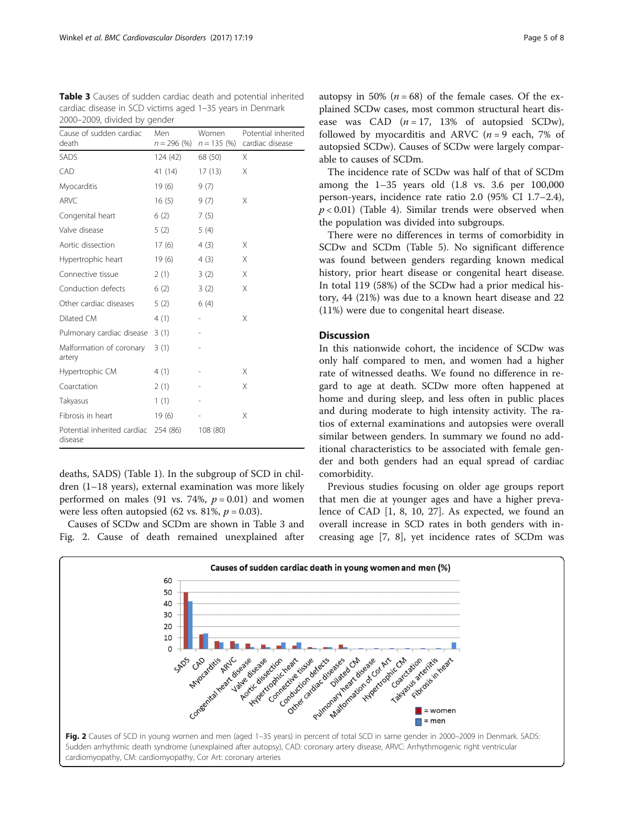<span id="page-4-0"></span>Table 3 Causes of sudden cardiac death and potential inherited cardiac disease in SCD victims aged 1–35 years in Denmark 2000–2009, divided by gender

| Cause of sudden cardiac<br>death       | Men      | Women<br>$n = 296$ (%) $n = 135$ (%) | Potential inherited<br>cardiac disease |
|----------------------------------------|----------|--------------------------------------|----------------------------------------|
| <b>SADS</b>                            | 124(42)  | 68 (50)                              | X                                      |
| CAD                                    | 41 (14)  | 17(13)                               | X                                      |
| Myocarditis                            | 19(6)    | 9(7)                                 |                                        |
| ARVC                                   | 16(5)    | 9(7)                                 | X                                      |
| Congenital heart                       | 6(2)     | 7(5)                                 |                                        |
| Valve disease                          | 5(2)     | 5(4)                                 |                                        |
| Aortic dissection                      | 17(6)    | 4(3)                                 | X                                      |
| Hypertrophic heart                     | 19(6)    | 4(3)                                 | X                                      |
| Connective tissue                      | 2(1)     | 3(2)                                 | X                                      |
| Conduction defects                     | 6(2)     | 3(2)                                 | X                                      |
| Other cardiac diseases                 | 5(2)     | 6(4)                                 |                                        |
| Dilated CM                             | 4(1)     |                                      | X                                      |
| Pulmonary cardiac disease              | 3(1)     |                                      |                                        |
| Malformation of coronary<br>artery     | 3(1)     |                                      |                                        |
| Hypertrophic CM                        | 4(1)     |                                      | X                                      |
| Coarctation                            | 2(1)     |                                      | X                                      |
| Takyasus                               | 1(1)     |                                      |                                        |
| Fibrosis in heart                      | 19(6)    |                                      | X                                      |
| Potential inherited cardiac<br>disease | 254 (86) | 108 (80)                             |                                        |

deaths, SADS) (Table [1\)](#page-2-0). In the subgroup of SCD in children (1–18 years), external examination was more likely performed on males (91 vs. 74%,  $p = 0.01$ ) and women were less often autopsied (62 vs. 81%,  $p = 0.03$ ).

Causes of SCDw and SCDm are shown in Table 3 and Fig. 2. Cause of death remained unexplained after

autopsy in 50% ( $n = 68$ ) of the female cases. Of the explained SCDw cases, most common structural heart disease was CAD  $(n = 17, 13\%$  of autopsied SCDw), followed by myocarditis and ARVC  $(n = 9 \text{ each}, 7\% \text{ of})$ autopsied SCDw). Causes of SCDw were largely comparable to causes of SCDm.

The incidence rate of SCDw was half of that of SCDm among the 1–35 years old (1.8 vs. 3.6 per 100,000 person-years, incidence rate ratio 2.0 (95% CI 1.7–2.4),  $p < 0.01$ ) (Table [4](#page-5-0)). Similar trends were observed when the population was divided into subgroups.

There were no differences in terms of comorbidity in SCDw and SCDm (Table [5](#page-5-0)). No significant difference was found between genders regarding known medical history, prior heart disease or congenital heart disease. In total 119 (58%) of the SCDw had a prior medical history, 44 (21%) was due to a known heart disease and 22 (11%) were due to congenital heart disease.

# Discussion

In this nationwide cohort, the incidence of SCDw was only half compared to men, and women had a higher rate of witnessed deaths. We found no difference in regard to age at death. SCDw more often happened at home and during sleep, and less often in public places and during moderate to high intensity activity. The ratios of external examinations and autopsies were overall similar between genders. In summary we found no additional characteristics to be associated with female gender and both genders had an equal spread of cardiac comorbidity.

Previous studies focusing on older age groups report that men die at younger ages and have a higher prevalence of CAD [\[1](#page-6-0), [8](#page-7-0), [10, 27\]](#page-7-0). As expected, we found an overall increase in SCD rates in both genders with increasing age [\[7, 8](#page-7-0)], yet incidence rates of SCDm was

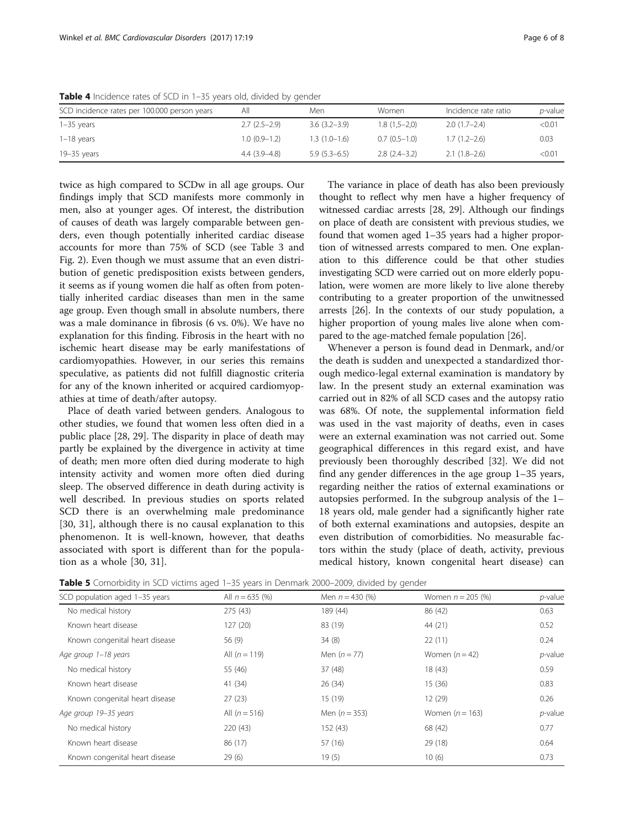| SCD incidence rates per 100.000 person years | All            | Men              | Women          | Incidence rate ratio | <i>p</i> -value |
|----------------------------------------------|----------------|------------------|----------------|----------------------|-----------------|
| $1-35$ years                                 | $2.7(2.5-2.9)$ | $3.6(3.2 - 3.9)$ | $1.8(1.5-2.0)$ | $2.0(1.7-2.4)$       | < 0.01          |
| $1-18$ years                                 | $1.0(0.9-1.2)$ | $1.3(1.0-1.6)$   | $0.7(0.5-1.0)$ | $1.7(1.2-2.6)$       | 0.03            |
| 19–35 years                                  | $4.4(3.9-4.8)$ | $5.9(5.3-6.5)$   | $2.8(2.4-3.2)$ | $2.1(1.8-2.6)$       | < 0.01          |

<span id="page-5-0"></span>Table 4 Incidence rates of SCD in 1–35 years old, divided by gender

twice as high compared to SCDw in all age groups. Our findings imply that SCD manifests more commonly in men, also at younger ages. Of interest, the distribution of causes of death was largely comparable between genders, even though potentially inherited cardiac disease accounts for more than 75% of SCD (see Table [3](#page-4-0) and Fig. [2](#page-4-0)). Even though we must assume that an even distribution of genetic predisposition exists between genders, it seems as if young women die half as often from potentially inherited cardiac diseases than men in the same age group. Even though small in absolute numbers, there was a male dominance in fibrosis (6 vs. 0%). We have no explanation for this finding. Fibrosis in the heart with no ischemic heart disease may be early manifestations of cardiomyopathies. However, in our series this remains speculative, as patients did not fulfill diagnostic criteria for any of the known inherited or acquired cardiomyopathies at time of death/after autopsy.

Place of death varied between genders. Analogous to other studies, we found that women less often died in a public place [[28, 29\]](#page-7-0). The disparity in place of death may partly be explained by the divergence in activity at time of death; men more often died during moderate to high intensity activity and women more often died during sleep. The observed difference in death during activity is well described. In previous studies on sports related SCD there is an overwhelming male predominance [[30, 31\]](#page-7-0), although there is no causal explanation to this phenomenon. It is well-known, however, that deaths associated with sport is different than for the population as a whole [[30, 31\]](#page-7-0).

The variance in place of death has also been previously thought to reflect why men have a higher frequency of witnessed cardiac arrests [\[28, 29](#page-7-0)]. Although our findings on place of death are consistent with previous studies, we found that women aged 1–35 years had a higher proportion of witnessed arrests compared to men. One explanation to this difference could be that other studies investigating SCD were carried out on more elderly population, were women are more likely to live alone thereby contributing to a greater proportion of the unwitnessed arrests [[26](#page-7-0)]. In the contexts of our study population, a higher proportion of young males live alone when compared to the age-matched female population [\[26](#page-7-0)].

Whenever a person is found dead in Denmark, and/or the death is sudden and unexpected a standardized thorough medico-legal external examination is mandatory by law. In the present study an external examination was carried out in 82% of all SCD cases and the autopsy ratio was 68%. Of note, the supplemental information field was used in the vast majority of deaths, even in cases were an external examination was not carried out. Some geographical differences in this regard exist, and have previously been thoroughly described [[32](#page-7-0)]. We did not find any gender differences in the age group 1–35 years, regarding neither the ratios of external examinations or autopsies performed. In the subgroup analysis of the 1– 18 years old, male gender had a significantly higher rate of both external examinations and autopsies, despite an even distribution of comorbidities. No measurable factors within the study (place of death, activity, previous medical history, known congenital heart disease) can

**Table 5** Comorbidity in SCD victims aged 1-35 years in Denmark 2000–2009, divided by gender

| comonomy model nearing ageant be fears in Bernmann Evevel Every annotes by genaci<br>SCD population aged 1-35 years | All $n = 635$ (%) | Men $n = 430 (%)$ | Women $n = 205$ (%) | $p$ -value |
|---------------------------------------------------------------------------------------------------------------------|-------------------|-------------------|---------------------|------------|
|                                                                                                                     |                   |                   |                     |            |
| No medical history                                                                                                  | 275(43)           | 189 (44)          | 86 (42)             | 0.63       |
| Known heart disease                                                                                                 | 127(20)           | 83 (19)           | 44 (21)             | 0.52       |
| Known congenital heart disease                                                                                      | 56 (9)            | 34(8)             | 22(11)              | 0.24       |
| Age group 1-18 years                                                                                                | All $(n = 119)$   | Men $(n = 77)$    | Women $(n=42)$      | $p$ -value |
| No medical history                                                                                                  | 55 (46)           | 37(48)            | 18(43)              | 0.59       |
| Known heart disease                                                                                                 | 41 (34)           | 26(34)            | 15(36)              | 0.83       |
| Known congenital heart disease                                                                                      | 27(23)            | 15 (19)           | 12(29)              | 0.26       |
| Age group 19-35 years                                                                                               | All $(n = 516)$   | Men $(n = 353)$   | Women $(n = 163)$   | $p$ -value |
| No medical history                                                                                                  | 220(43)           | 152 (43)          | 68 (42)             | 0.77       |
| Known heart disease                                                                                                 | 86 (17)           | 57 (16)           | 29(18)              | 0.64       |
| Known congenital heart disease                                                                                      | 29(6)             | 19(5)             | 10(6)               | 0.73       |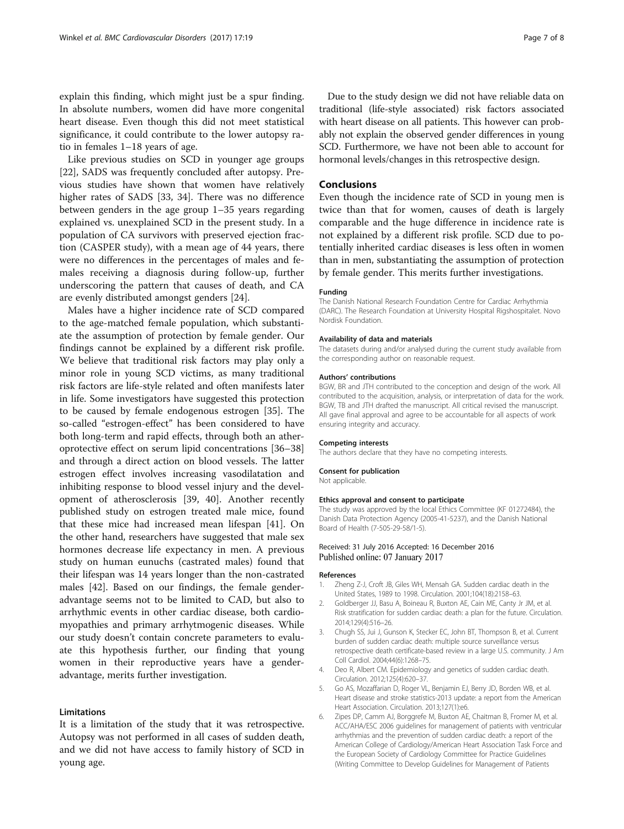<span id="page-6-0"></span>explain this finding, which might just be a spur finding. In absolute numbers, women did have more congenital heart disease. Even though this did not meet statistical significance, it could contribute to the lower autopsy ratio in females 1–18 years of age.

Like previous studies on SCD in younger age groups [[22\]](#page-7-0), SADS was frequently concluded after autopsy. Previous studies have shown that women have relatively higher rates of SADS [\[33](#page-7-0), [34](#page-7-0)]. There was no difference between genders in the age group 1–35 years regarding explained vs. unexplained SCD in the present study. In a population of CA survivors with preserved ejection fraction (CASPER study), with a mean age of 44 years, there were no differences in the percentages of males and females receiving a diagnosis during follow-up, further underscoring the pattern that causes of death, and CA are evenly distributed amongst genders [\[24](#page-7-0)].

Males have a higher incidence rate of SCD compared to the age-matched female population, which substantiate the assumption of protection by female gender. Our findings cannot be explained by a different risk profile. We believe that traditional risk factors may play only a minor role in young SCD victims, as many traditional risk factors are life-style related and often manifests later in life. Some investigators have suggested this protection to be caused by female endogenous estrogen [[35\]](#page-7-0). The so-called "estrogen-effect" has been considered to have both long-term and rapid effects, through both an atheroprotective effect on serum lipid concentrations [[36](#page-7-0)–[38](#page-7-0)] and through a direct action on blood vessels. The latter estrogen effect involves increasing vasodilatation and inhibiting response to blood vessel injury and the development of atherosclerosis [\[39, 40](#page-7-0)]. Another recently published study on estrogen treated male mice, found that these mice had increased mean lifespan [\[41](#page-7-0)]. On the other hand, researchers have suggested that male sex hormones decrease life expectancy in men. A previous study on human eunuchs (castrated males) found that their lifespan was 14 years longer than the non-castrated males [[42\]](#page-7-0). Based on our findings, the female genderadvantage seems not to be limited to CAD, but also to arrhythmic events in other cardiac disease, both cardiomyopathies and primary arrhytmogenic diseases. While our study doesn't contain concrete parameters to evaluate this hypothesis further, our finding that young women in their reproductive years have a genderadvantage, merits further investigation.

#### Limitations

It is a limitation of the study that it was retrospective. Autopsy was not performed in all cases of sudden death, and we did not have access to family history of SCD in young age.

Due to the study design we did not have reliable data on traditional (life-style associated) risk factors associated with heart disease on all patients. This however can probably not explain the observed gender differences in young SCD. Furthermore, we have not been able to account for hormonal levels/changes in this retrospective design.

#### **Conclusions**

Even though the incidence rate of SCD in young men is twice than that for women, causes of death is largely comparable and the huge difference in incidence rate is not explained by a different risk profile. SCD due to potentially inherited cardiac diseases is less often in women than in men, substantiating the assumption of protection by female gender. This merits further investigations.

#### Funding

The Danish National Research Foundation Centre for Cardiac Arrhythmia (DARC). The Research Foundation at University Hospital Rigshospitalet. Novo Nordisk Foundation.

#### Availability of data and materials

The datasets during and/or analysed during the current study available from the corresponding author on reasonable request.

#### Authors' contributions

BGW, BR and JTH contributed to the conception and design of the work. All contributed to the acquisition, analysis, or interpretation of data for the work. BGW, TB and JTH drafted the manuscript. All critical revised the manuscript. All gave final approval and agree to be accountable for all aspects of work ensuring integrity and accuracy.

#### Competing interests

The authors declare that they have no competing interests.

#### Consent for publication

Not applicable.

#### Ethics approval and consent to participate

The study was approved by the local Ethics Committee (KF 01272484), the Danish Data Protection Agency (2005-41-5237), and the Danish National Board of Health (7-505-29-58/1-5).

#### Received: 31 July 2016 Accepted: 16 December 2016 Published online: 07 January 2017

#### References

- Zheng Z-J, Croft JB, Giles WH, Mensah GA. Sudden cardiac death in the United States, 1989 to 1998. Circulation. 2001;104(18):2158–63.
- 2. Goldberger JJ, Basu A, Boineau R, Buxton AE, Cain ME, Canty Jr JM, et al. Risk stratification for sudden cardiac death: a plan for the future. Circulation. 2014;129(4):516–26.
- 3. Chugh SS, Jui J, Gunson K, Stecker EC, John BT, Thompson B, et al. Current burden of sudden cardiac death: multiple source surveillance versus retrospective death certificate-based review in a large U.S. community. J Am Coll Cardiol. 2004;44(6):1268–75.
- 4. Deo R, Albert CM. Epidemiology and genetics of sudden cardiac death. Circulation. 2012;125(4):620–37.
- 5. Go AS, Mozaffarian D, Roger VL, Benjamin EJ, Berry JD, Borden WB, et al. Heart disease and stroke statistics-2013 update: a report from the American Heart Association. Circulation. 2013;127(1):e6.
- 6. Zipes DP, Camm AJ, Borggrefe M, Buxton AE, Chaitman B, Fromer M, et al. ACC/AHA/ESC 2006 guidelines for management of patients with ventricular arrhythmias and the prevention of sudden cardiac death: a report of the American College of Cardiology/American Heart Association Task Force and the European Society of Cardiology Committee for Practice Guidelines (Writing Committee to Develop Guidelines for Management of Patients